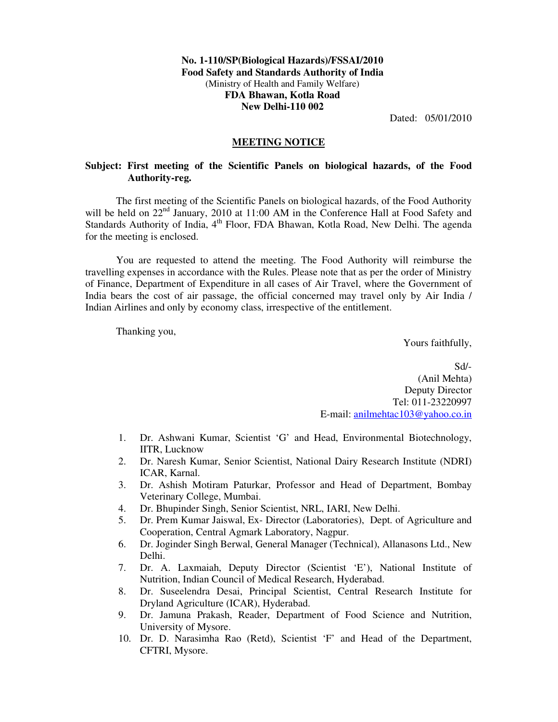## **No. 1-110/SP(Biological Hazards)/FSSAI/2010 Food Safety and Standards Authority of India**  (Ministry of Health and Family Welfare) **FDA Bhawan, Kotla Road New Delhi-110 002**

Dated: 05/01/2010

## **MEETING NOTICE**

## **Subject: First meeting of the Scientific Panels on biological hazards, of the Food Authority-reg.**

The first meeting of the Scientific Panels on biological hazards, of the Food Authority will be held on  $22<sup>nd</sup>$  January, 2010 at 11:00 AM in the Conference Hall at Food Safety and Standards Authority of India, 4<sup>th</sup> Floor, FDA Bhawan, Kotla Road, New Delhi. The agenda for the meeting is enclosed.

You are requested to attend the meeting. The Food Authority will reimburse the travelling expenses in accordance with the Rules. Please note that as per the order of Ministry of Finance, Department of Expenditure in all cases of Air Travel, where the Government of India bears the cost of air passage, the official concerned may travel only by Air India / Indian Airlines and only by economy class, irrespective of the entitlement.

Thanking you,

Yours faithfully,

Sd/- (Anil Mehta) Deputy Director Tel: 011-23220997 E-mail: anilmehtac103@yahoo.co.in

- 1. Dr. Ashwani Kumar, Scientist 'G' and Head, Environmental Biotechnology, IITR, Lucknow
- 2. Dr. Naresh Kumar, Senior Scientist, National Dairy Research Institute (NDRI) ICAR, Karnal.
- 3. Dr. Ashish Motiram Paturkar, Professor and Head of Department, Bombay Veterinary College, Mumbai.
- 4. Dr. Bhupinder Singh, Senior Scientist, NRL, IARI, New Delhi.
- 5. Dr. Prem Kumar Jaiswal, Ex- Director (Laboratories), Dept. of Agriculture and Cooperation, Central Agmark Laboratory, Nagpur.
- 6. Dr. Joginder Singh Berwal, General Manager (Technical), Allanasons Ltd., New Delhi.
- 7. Dr. A. Laxmaiah, Deputy Director (Scientist 'E'), National Institute of Nutrition, Indian Council of Medical Research, Hyderabad.
- 8. Dr. Suseelendra Desai, Principal Scientist, Central Research Institute for Dryland Agriculture (ICAR), Hyderabad.
- 9. Dr. Jamuna Prakash, Reader, Department of Food Science and Nutrition, University of Mysore.
- 10. Dr. D. Narasimha Rao (Retd), Scientist 'F' and Head of the Department, CFTRI, Mysore.